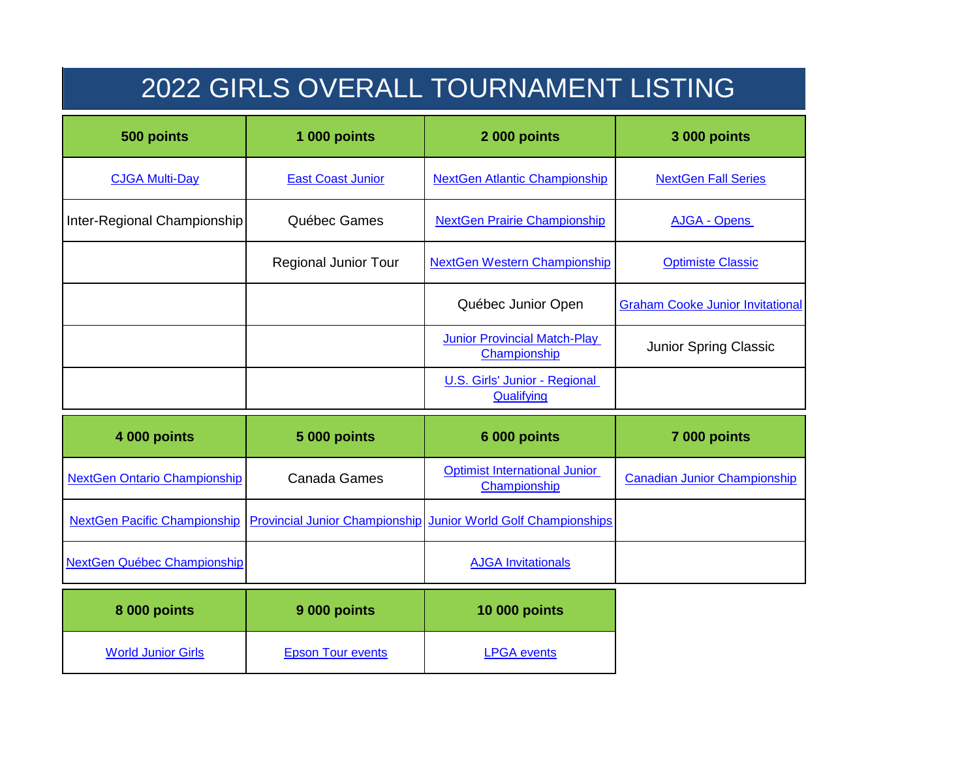## 2022 GIRLS OVERALL TOURNAMENT LISTING

| 500 points                          | 1 000 points                          | 2 000 points                                         | <b>3 000 points</b>                     |
|-------------------------------------|---------------------------------------|------------------------------------------------------|-----------------------------------------|
| <b>CJGA Multi-Day</b>               | <b>East Coast Junior</b>              | <b>NextGen Atlantic Championship</b>                 | <b>NextGen Fall Series</b>              |
| Inter-Regional Championship         | Québec Games                          | <b>NextGen Prairie Championship</b>                  | <b>AJGA - Opens</b>                     |
|                                     | <b>Regional Junior Tour</b>           | <b>NextGen Western Championship</b>                  | <b>Optimiste Classic</b>                |
|                                     |                                       | Québec Junior Open                                   | <b>Graham Cooke Junior Invitational</b> |
|                                     |                                       | <b>Junior Provincial Match-Play</b><br>Championship  | Junior Spring Classic                   |
|                                     |                                       | U.S. Girls' Junior - Regional<br>Qualifying          |                                         |
| 4 000 points                        | <b>5 000 points</b>                   | 6 000 points                                         | 7 000 points                            |
| <b>NextGen Ontario Championship</b> | Canada Games                          | <b>Optimist International Junior</b><br>Championship | <b>Canadian Junior Championship</b>     |
| <b>NextGen Pacific Championship</b> | <b>Provincial Junior Championship</b> | <b>Junior World Golf Championships</b>               |                                         |
| <b>NextGen Québec Championship</b>  |                                       | <b>AJGA Invitationals</b>                            |                                         |

| 8 000 points              | 9 000 points             | <b>10 000 points</b> |
|---------------------------|--------------------------|----------------------|
| <b>World Junior Girls</b> | <b>Epson Tour events</b> | <b>LPGA</b> events   |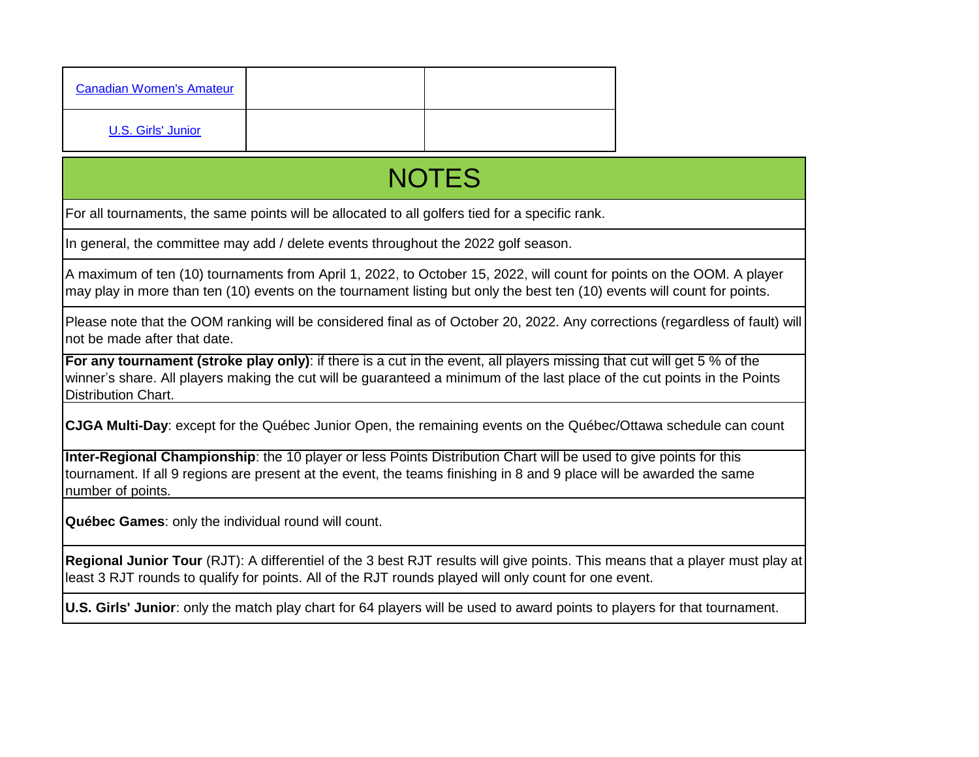| <b>Canadian Women's Amateur</b> |  |
|---------------------------------|--|
| U.S. Girls' Junior              |  |

## **NOTES**

For all tournaments, the same points will be allocated to all golfers tied for a specific rank.

In general, the committee may add / delete events throughout the 2022 golf season.

A maximum of ten (10) tournaments from April 1, 2022, to October 15, 2022, will count for points on the OOM. A player may play in more than ten (10) events on the tournament listing but only the best ten (10) events will count for points.

Please note that the OOM ranking will be considered final as of October 20, 2022. Any corrections (regardless of fault) will not be made after that date.

**For any tournament (stroke play only)**: if there is a cut in the event, all players missing that cut will get 5 % of the winner's share. All players making the cut will be guaranteed a minimum of the last place of the cut points in the Points Distribution Chart.

**CJGA Multi-Day**: except for the Québec Junior Open, the remaining events on the Québec/Ottawa schedule can count

**Inter-Regional Championship**: the 10 player or less Points Distribution Chart will be used to give points for this tournament. If all 9 regions are present at the event, the teams finishing in 8 and 9 place will be awarded the same number of points.

**Québec Games**: only the individual round will count.

**Regional Junior Tour** (RJT): A differentiel of the 3 best RJT results will give points. This means that a player must play at least 3 RJT rounds to qualify for points. All of the RJT rounds played will only count for one event.

**U.S. Girls' Junior**: only the match play chart for 64 players will be used to award points to players for that tournament.